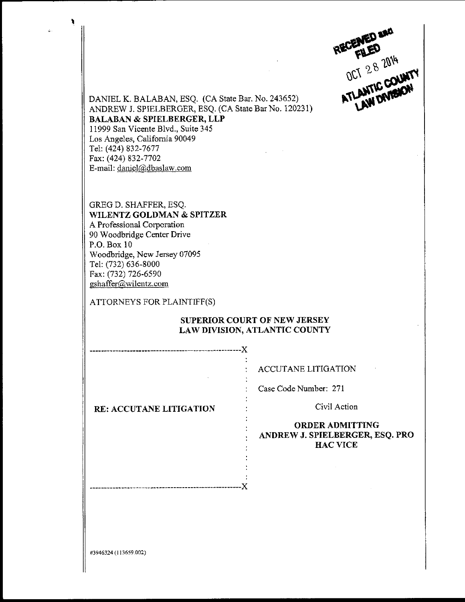DANIEL K. BALABAN, ESQ. (CA State Bar. No.243652) .:ffi\*s\$-

ANDREW J. SPIELBERGER, ESQ. (CA State Bar No. 120231) BALABAN & SPIELBERGER, LLP I 1999 San Vicente B1vd., Suite 345 Los Angeles, Califomia 90049 Tel: (424) 832-7677 Fax: (424) 832-7702 E-mail: daniel@dbaslaw.com

GREGD. SHAFFER, ESQ, WILENTZ GOLDMAN & SPITZER A Professional Corporation 90 Woodbridge Center Drive P.O. Box 10 Woodbridge, New Jersey 07095 Tel: (732) 636-8000 Fax: (732) 726-6590 gshaffer@wilentz.com

ATTORNEYS FOR PLAINTIFF(S)

### SUPERIOR COURT OF NEW JERSEY LAW DTVISION, ATLANTIC COUNTY

X

ACCUTANE LITIGATION

Case Code Number: 271

Civil Action

#### ORDERADMITTING ANDREW J. SPIELBERGER, ESQ. PRO HACVICE

RE: ACCUTANE LITIGATION

#3946324 (1136s9.002)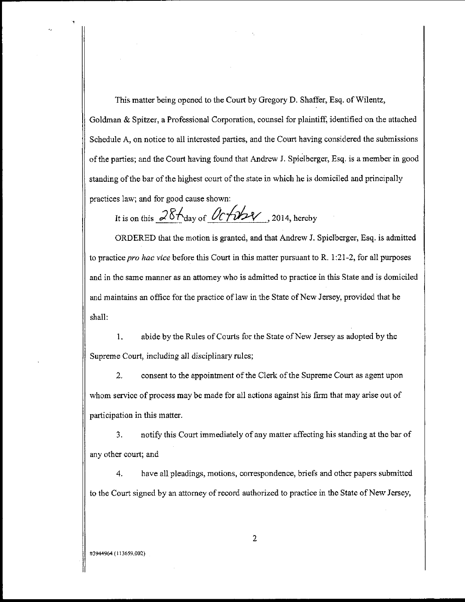This matter being opened to the Court by Gregory D. Shaffer, Esq. of Wilentz, Goldman & Spitzer, a Professional Corporation, counsel for plaintiff, identified on the attached Schedule A, on notice to all interested parties, and the Court having considered the submissions of the parties; and the Court having found that Andrew J. Spielberger, Esq. is a member in good standing of the bar of the highest court of the state in which he is domiciled and principally practices law; and for good cause shown:

It is on this  $28f_{\text{day of}}$   $0c$   $\cancel{\sim}$   $2014$ , hereby

ORDERED that the motion is granted, and that Andrew J. Spielberger, Esq. is admitted to practice *pro hac vice* before this Court in this matter pursuant to R.  $1:21-2$ , for all purposes and in the same manner as an attomey who is admitted to practice in this State and is domiciled and maintains an office for the practice of law in the State of New Jersey, provided that he shall:

1. abide by the Rules of Courts for the State of New Jersey as adopted by the Supreme Court, including all disciplinary rules;

2. consent to the appointment of the Clerk of the Supreme Court as agent upon whom service of process may be made for all actions against his firm that may arise out of participation in this matter.

3. notify this Court immediately of any matter affecting his standing at the bar of any other court; and

4. have all pleadings, motions, correspondence, briefs and other papers submitted to the Court signed by an attorney of record authorized to practice in the State of New Jersey,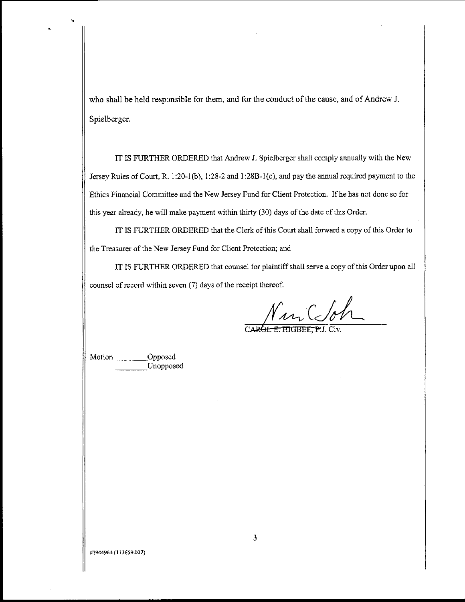who shall be held responsible for them, and for the conduct of the cause, and of Andrew J. Spielberger.

IT IS FURTHER ORDERED that Andrew J. Spielberger shall comply annually with the New .Tersey Rules of Court, R. 1:20-1(b), 1:28-2 and 1:288-1(e), and pay the annual required paymcnt to the Ethics Financial Committee and the New Jersey Fund for Client Protection. lfhe has not done so for this year already, he will make payment within thirty (30) days of the date of this Order.

IT IS FURTHER ORDERED that the Clerk of this Court shall forward a copy of this Order to the Treasurer of the New Jersey Fund for Client Protection; aud

IT IS FIIRTHER ORDERED that counsel for plaintiff shall serve a copy of this Order upon all counsel of record within seven (7) days of the receipt thereof.

Nur Coh

Opposed Unopposed

#3944964 (l13659,002)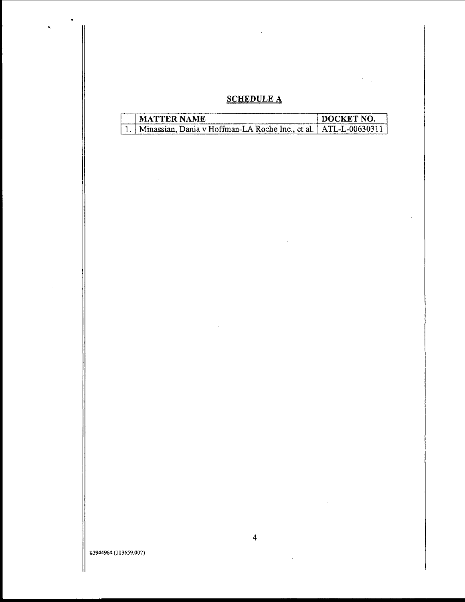### SCHEDULE A

| -MATIER NAME                                                      | 1 M M 'K K'F'. |
|-------------------------------------------------------------------|----------------|
| Minassian, Dania v Hoffman-LA Roche Inc., et al.   ATL-L-00630311 |                |

 $\hat{\mathbf{r}}$ 

#3944964 (l13659.002)

 $\sim$